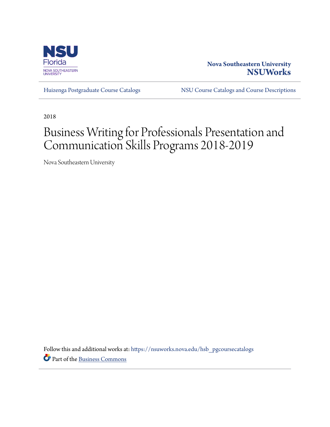

## **Nova Southeastern University [NSUWorks](https://nsuworks.nova.edu?utm_source=nsuworks.nova.edu%2Fhsb_pgcoursecatalogs%2F202&utm_medium=PDF&utm_campaign=PDFCoverPages)**

[Huizenga Postgraduate Course Catalogs](https://nsuworks.nova.edu/hsb_pgcoursecatalogs?utm_source=nsuworks.nova.edu%2Fhsb_pgcoursecatalogs%2F202&utm_medium=PDF&utm_campaign=PDFCoverPages) [NSU Course Catalogs and Course Descriptions](https://nsuworks.nova.edu/nsu_catalogs?utm_source=nsuworks.nova.edu%2Fhsb_pgcoursecatalogs%2F202&utm_medium=PDF&utm_campaign=PDFCoverPages)

2018

# Business Writing for Professionals Presentation and Communication Skills Programs 2018-2019

Nova Southeastern University

Follow this and additional works at: [https://nsuworks.nova.edu/hsb\\_pgcoursecatalogs](https://nsuworks.nova.edu/hsb_pgcoursecatalogs?utm_source=nsuworks.nova.edu%2Fhsb_pgcoursecatalogs%2F202&utm_medium=PDF&utm_campaign=PDFCoverPages) Part of the [Business Commons](http://network.bepress.com/hgg/discipline/622?utm_source=nsuworks.nova.edu%2Fhsb_pgcoursecatalogs%2F202&utm_medium=PDF&utm_campaign=PDFCoverPages)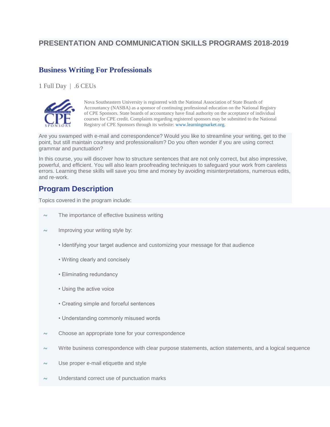## **PRESENTATION AND COMMUNICATION SKILLS PROGRAMS 2018-2019**

## **Business Writing For Professionals**

1 Full Day | .6 CEUs



Nova Southeastern University is registered with the National Association of State Boards of Accountancy (NASBA) as a sponsor of continuing professional education on the National Registry of CPE Sponsors. State boards of accountancy have final authority on the acceptance of individual courses for CPE credit. Complaints regarding registered sponsors may be submitted to the National Registry of CPE Sponsors through its website: [www.learningmarket.org.](http://www.learningmarket.org/)

Are you swamped with e-mail and correspondence? Would you like to streamline your writing, get to the point, but still maintain courtesy and professionalism? Do you often wonder if you are using correct grammar and punctuation?

In this course, you will discover how to structure sentences that are not only correct, but also impressive, powerful, and efficient. You will also learn proofreading techniques to safeguard your work from careless errors. Learning these skills will save you time and money by avoiding misinterpretations, numerous edits, and re-work.

## **Program Description**

Topics covered in the program include:

- $\sim$  The importance of effective business writing
- $\sim$  Improving your writing style by:
	- Identifying your target audience and customizing your message for that audience
	- Writing clearly and concisely
	- Eliminating redundancy
	- Using the active voice
	- Creating simple and forceful sentences
	- Understanding commonly misused words
- $\sim$  Choose an appropriate tone for your correspondence
- $\sim$  Write business correspondence with clear purpose statements, action statements, and a logical sequence
- $\sim$  Use proper e-mail etiquette and style
- Understand correct use of punctuation marks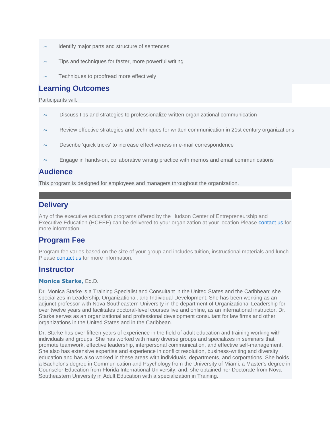- $\sim$  Identify major parts and structure of sentences
- $\sim$  Tips and techniques for faster, more powerful writing
- $\sim$  Techniques to proofread more effectively

#### **Learning Outcomes**

Participants will:

- $\sim$  Discuss tips and strategies to professionalize written organizational communication
- $\sim$  Review effective strategies and techniques for written communication in 21st century organizations
- Describe 'quick tricks' to increase effectiveness in e-mail correspondence
- $\sim$  Engage in hands-on, collaborative writing practice with memos and email communications

#### **Audience**

This program is designed for employees and managers throughout the organization.

## **Delivery**

Any of the executive education programs offered by the Hudson Center of Entrepreneurship and Executive Education (HCEEE) can be delivered to your organization at your location Please [contact us](https://www.business.nova.edu/execed/professional-development/business-writing-workshop.html#contact) for more information.

## **Program Fee**

Program fee varies based on the size of your group and includes tuition, instructional materials and lunch. Please [contact us](https://www.business.nova.edu/execed/professional-development/business-writing-workshop.html#contact) for more information.

#### **Instructor**

#### **Monica Starke,** Ed.D.

Dr. Monica Starke is a Training Specialist and Consultant in the United States and the Caribbean; she specializes in Leadership, Organizational, and Individual Development. She has been working as an adjunct professor with Nova Southeastern University in the department of Organizational Leadership for over twelve years and facilitates doctoral-level courses live and online, as an international instructor. Dr. Starke serves as an organizational and professional development consultant for law firms and other organizations in the United States and in the Caribbean.

Dr. Starke has over fifteen years of experience in the field of adult education and training working with individuals and groups. She has worked with many diverse groups and specializes in seminars that promote teamwork, effective leadership, interpersonal communication, and effective self-management. She also has extensive expertise and experience in conflict resolution, business-writing and diversity education and has also worked in these areas with individuals, departments, and corporations. She holds a Bachelor's degree in Communication and Psychology from the University of Miami; a Master's degree in Counselor Education from Florida International University; and, she obtained her Doctorate from Nova Southeastern University in Adult Education with a specialization in Training.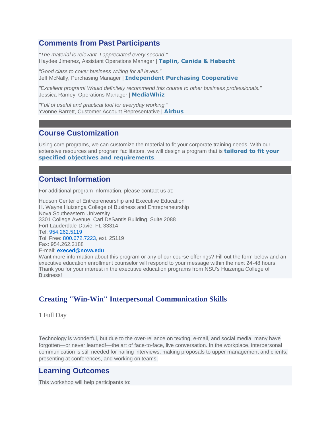## **Comments from Past Participants**

*"The material is relevant. I appreciated every second."* Haydee Jimenez, Assistant Operations Manager | **Taplin, Canida & Habacht**

*"Good class to cover business writing for all levels."* Jeff McNally, Purchasing Manager | **Independent Purchasing Cooperative**

*"Excellent program! Would definitely recommend this course to other business professionals."* Jessica Ramey, Operations Manager | **MediaWhiz**

*"Full of useful and practical tool for everyday working."* Yvonne Barrett, Customer Account Representative | **Airbus**

#### **Course Customization**

Using core programs, we can customize the material to fit your corporate training needs. With our extensive resources and program facilitators, we will design a program that is **tailored to fit your specified objectives and requirements**.

## **Contact Information**

For additional program information, please contact us at:

Hudson Center of Entrepreneurship and Executive Education H. Wayne Huizenga College of Business and Entrepreneurship Nova Southeastern University 3301 College Avenue, Carl DeSantis Building, Suite 2088 Fort Lauderdale-Davie, FL 33314 Tel: [954.262.5119](tel:19542625137) Toll Free: [800.672.7223,](tel:18006727223) ext. 25119 Fax: 954.262.3188 E-mail: **[execed@nova.edu](mailto:execed@nova.edu)**

Want more information about this program or any of our course offerings? Fill out the form below and an executive education enrollment counselor will respond to your message within the next 24-48 hours. Thank you for your interest in the executive education programs from NSU's Huizenga College of Business!

## **Creating "Win-Win" Interpersonal Communication Skills**

1 Full Day

Technology is wonderful, but due to the over-reliance on texting, e-mail, and social media, many have forgotten—or never learned!—the art of face-to-face, live conversation. In the workplace, interpersonal communication is still needed for nailing interviews, making proposals to upper management and clients, presenting at conferences, and working on teams.

## **Learning Outcomes**

This workshop will help participants to: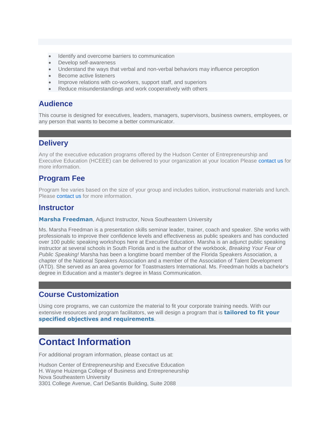- Identify and overcome barriers to communication
- Develop self-awareness
- Understand the ways that verbal and non-verbal behaviors may influence perception
- Become active listeners
- Improve relations with co-workers, support staff, and superiors
- Reduce misunderstandings and work cooperatively with others

#### **Audience**

This course is designed for executives, leaders, managers, supervisors, business owners, employees, or any person that wants to become a better communicator.

## **Delivery**

Any of the executive education programs offered by the Hudson Center of Entrepreneurship and Executive Education (HCEEE) can be delivered to your organization at your location Please [contact us](https://www.business.nova.edu/execed/professional-development/interpersonal-communication-skills.html#contact) for more information.

## **Program Fee**

Program fee varies based on the size of your group and includes tuition, instructional materials and lunch. Please [contact us](https://www.business.nova.edu/execed/professional-development/interpersonal-communication-skills.html#contact) for more information.

## **Instructor**

**Marsha Freedman**, Adjunct Instructor, Nova Southeastern University

Ms. Marsha Freedman is a presentation skills seminar leader, trainer, coach and speaker. She works with professionals to improve their confidence levels and effectiveness as public speakers and has conducted over 100 public speaking workshops here at Executive Education. Marsha is an adjunct public speaking instructor at several schools in South Florida and is the author of the workbook, *Breaking Your Fear of Public Speaking!* Marsha has been a longtime board member of the Florida Speakers Association, a chapter of the National Speakers Association and a member of the Association of Talent Development (ATD). She served as an area governor for Toastmasters International. Ms. Freedman holds a bachelor's degree in Education and a master's degree in Mass Communication.

## **Course Customization**

Using core programs, we can customize the material to fit your corporate training needs. With our extensive resources and program facilitators, we will design a program that is **tailored to fit your specified objectives and requirements**.

## **Contact Information**

For additional program information, please contact us at:

Hudson Center of Entrepreneurship and Executive Education H. Wayne Huizenga College of Business and Entrepreneurship Nova Southeastern University 3301 College Avenue, Carl DeSantis Building, Suite 2088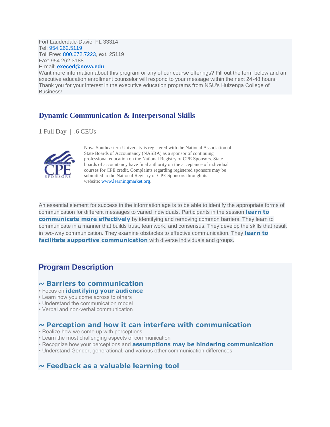Fort Lauderdale-Davie, FL 33314 Tel: [954.262.5119](tel:19542625137) Toll Free: [800.672.7223,](tel:18006727223) ext. 25119 Fax: 954.262.3188 E-mail: **[execed@nova.edu](mailto:execed@nova.edu)**

Want more information about this program or any of our course offerings? Fill out the form below and an executive education enrollment counselor will respond to your message within the next 24-48 hours. Thank you for your interest in the executive education programs from NSU's Huizenga College of Business!

## **Dynamic Communication & Interpersonal Skills**

1 Full Day | .6 CEUs



Nova Southeastern University is registered with the National Association of State Boards of Accountancy (NASBA) as a sponsor of continuing professional education on the National Registry of CPE Sponsors. State boards of accountancy have final authority on the acceptance of individual courses for CPE credit. Complaints regarding registered sponsors may be submitted to the National Registry of CPE Sponsors through its website: [www.learningmarket.org.](http://www.learningmarket.org/)

An essential element for success in the information age is to be able to identify the appropriate forms of communication for different messages to varied individuals. Participants in the session **learn to communicate more effectively** by identifying and removing common barriers. They learn to communicate in a manner that builds trust, teamwork, and consensus. They develop the skills that result in two-way communication. They examine obstacles to effective communication. They **learn to facilitate supportive communication** with diverse individuals and groups.

#### **Program Description**

#### **~ Barriers to communication**

- Focus on **identifying your audience**
- Learn how you come across to others
- Understand the communication model
- Verbal and non-verbal communication

#### **~ Perception and how it can interfere with communication**

- Realize how we come up with perceptions
- Learn the most challenging aspects of communication
- Recognize how your perceptions and **assumptions may be hindering communication**
- Understand Gender, generational, and various other communication differences

#### **~ Feedback as a valuable learning tool**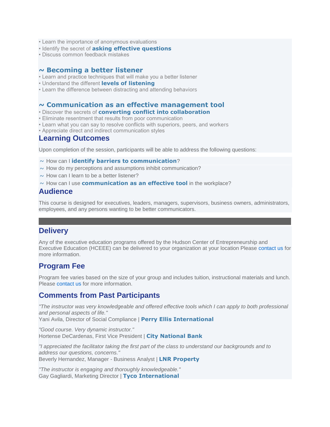- Learn the importance of anonymous evaluations
- Identify the secret of **asking effective questions**
- Discuss common feedback mistakes

#### **~ Becoming a better listener**

- Learn and practice techniques that will make you a better listener
- Understand the different **levels of listening**
- Learn the difference between distracting and attending behaviors

#### **~ Communication as an effective management tool**

- Discover the secrets of **converting conflict into collaboration**
- Eliminate resentment that results from poor communication
- Learn what you can say to resolve conflicts with superiors, peers, and workers
- Appreciate direct and indirect communication styles

#### **Learning Outcomes**

Upon completion of the session, participants will be able to address the following questions:

~ How can I **identify barriers to communication**?

- $\sim$  How do my perceptions and assumptions inhibit communication?
- $\sim$  How can I learn to be a better listener?
- ~ How can I use **communication as an effective tool** in the workplace?

#### **Audience**

This course is designed for executives, leaders, managers, supervisors, business owners, administrators, employees, and any persons wanting to be better communicators.

## **Delivery**

Any of the executive education programs offered by the Hudson Center of Entrepreneurship and Executive Education (HCEEE) can be delivered to your organization at your location Please [contact us](https://www.business.nova.edu/execed/professional-development/dynamic-communication.html#contact) for more information.

## **Program Fee**

Program fee varies based on the size of your group and includes tuition, instructional materials and lunch. Please [contact us](https://www.business.nova.edu/execed/professional-development/dynamic-communication.html#contact) for more information.

## **Comments from Past Participants**

*"The instructor was very knowledgeable and offered effective tools which I can apply to both professional and personal aspects of life."*

Yani Avila, Director of Social Compliance | **Perry Ellis International**

*"Good course. Very dynamic instructor."* Hortense DeCardenas, First Vice President | **City National Bank**

*"I appreciated the facilitator taking the first part of the class to understand our backgrounds and to address our questions, concerns."* Beverly Hernandez, Manager - Business Analyst | **LNR Property**

*"The instructor is engaging and thoroughly knowledgeable."* Gay Gagliardi, Marketing Director | **Tyco International**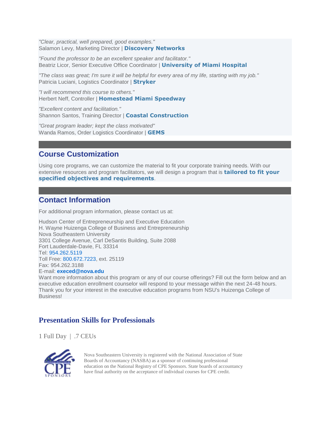*"Clear, practical, well prepared, good examples."* Salamon Levy, Marketing Director | **Discovery Networks**

*"Found the professor to be an excellent speaker and facilitator."* Beatriz Licor, Senior Executive Office Coordinator | **University of Miami Hospital**

*"The class was great; I'm sure it will be helpful for every area of my life, starting with my job."* Patricia Luciani, Logistics Coordinator | **Stryker**

*"I will recommend this course to others."* Herbert Neff, Controller | **Homestead Miami Speedway**

*"Excellent content and facilitation."* Shannon Santos, Training Director | **Coastal Construction**

*"Great program leader; kept the class motivated"* Wanda Ramos, Order Logistics Coordinator | **GEMS**

## **Course Customization**

Using core programs, we can customize the material to fit your corporate training needs. With our extensive resources and program facilitators, we will design a program that is **tailored to fit your specified objectives and requirements**.

## **Contact Information**

For additional program information, please contact us at:

Hudson Center of Entrepreneurship and Executive Education H. Wayne Huizenga College of Business and Entrepreneurship Nova Southeastern University 3301 College Avenue, Carl DeSantis Building, Suite 2088 Fort Lauderdale-Davie, FL 33314 Tel: [954.262.5119](tel:19542625137) Toll Free: [800.672.7223,](tel:18006727223) ext. 25119 Fax: 954.262.3188 E-mail: **[execed@nova.edu](mailto:execed@nova.edu)**

Want more information about this program or any of our course offerings? Fill out the form below and an executive education enrollment counselor will respond to your message within the next 24-48 hours. Thank you for your interest in the executive education programs from NSU's Huizenga College of Business!

## **Presentation Skills for Professionals**

1 Full Day | .7 CEUs



Nova Southeastern University is registered with the National Association of State Boards of Accountancy (NASBA) as a sponsor of continuing professional education on the National Registry of CPE Sponsors. State boards of accountancy have final authority on the acceptance of individual courses for CPE credit.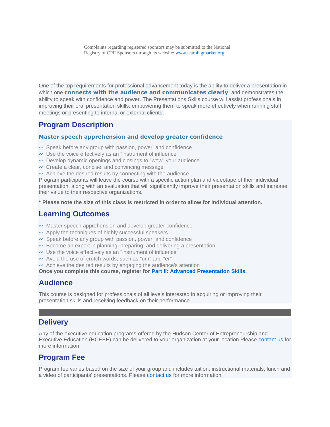One of the top requirements for professional advancement today is the ability to deliver a presentation in which one **connects with the audience and communicates clearly**, and demonstrates the ability to speak with confidence and power. The Presentations Skills course will assist professionals in improving their oral presentation skills, empowering them to speak more effectively when running staff meetings or presenting to internal or external clients.

## **Program Description**

#### **Master speech apprehension and develop greater confidence**

- $\sim$  Speak before any group with passion, power, and confidence
- $\sim$  Use the voice effectively as an "instrument of influence"
- $\sim$  Develop dynamic openings and closings to "wow" your audience
- $\sim$  Create a clear, concise, and convincing message
- $\sim$  Achieve the desired results by connecting with the audience

Program participants will leave the course with a specific action plan and videotape of their individual presentation, along with an evaluation that will significantly improve their presentation skills and increase their value to their respective organizations.

**\* Please note the size of this class is restricted in order to allow for individual attention.**

## **Learning Outcomes**

- $\sim$  Master speech apprehension and develop greater confidence
- $\sim$  Apply the techniques of highly successful speakers
- $\sim$  Speak before any group with passion, power, and confidence
- $\sim$  Become an expert in planning, preparing, and delivering a presentation
- $\sim$  Use the voice effectively as an "instrument of influence"
- $\sim$  Avoid the use of crutch words, such as "um" and "er"
- $\sim$  Achieve the desired results by engaging the audience's attention

**Once you complete this course, register for [Part II: Advanced Presentation Skills.](https://www.business.nova.edu/execed-wip/professional-development/advanced-presentation-skills.html)**

## **Audience**

This course is designed for professionals of all levels interested in acquiring or improving their presentation skills and receiving feedback on their performance.

## **Delivery**

Any of the executive education programs offered by the Hudson Center of Entrepreneurship and Executive Education (HCEEE) can be delivered to your organization at your location Please [contact us](https://www.business.nova.edu/execed/professional-development/presentation-skills.html#contact) for more information.

## **Program Fee**

Program fee varies based on the size of your group and includes tuition, instructional materials, lunch and a video of participants' presentations. Please [contact us](https://www.business.nova.edu/execed/professional-development/presentation-skills.html#contact) for more information.